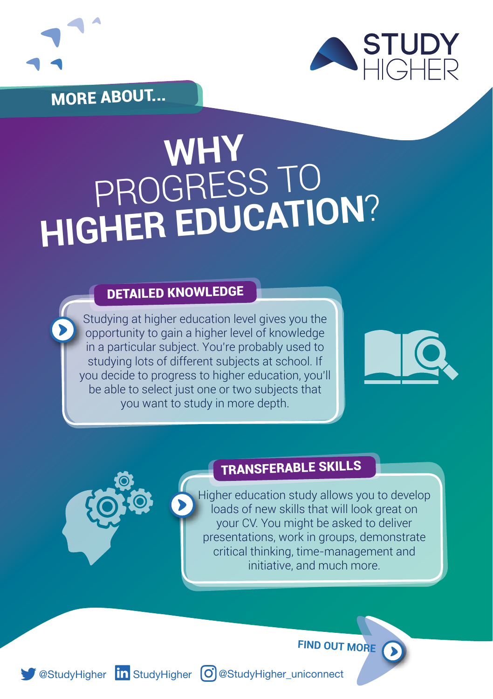

MORE ABOUT...



# WHY<br>PROGRESS TO<br>HIGHER EDUCATION?

#### DETAILED KNOWLEDGE

Studying at higher education level gives you the opportunity to gain a higher level of knowledge in a particular subject. You're probably used to studying lots of different subjects at school. If you decide to progress to higher education, you'll be able to select just one or two subjects that you want to study in more depth.





#### TRANSFERABLE SKILLS

Higher education study allows you to develop loads of new skills that will look great on your CV. You might be asked to deliver presentations, work in groups, demonstrate critical thinking, time-management and initiative, and much more.

**FIND OUT MORE**

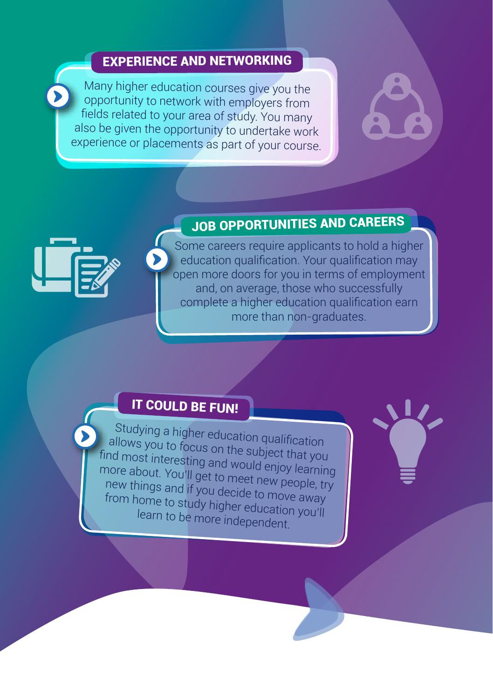#### EXPERIENCE AND NETWORKING

Many higher education courses give you the opportunity to network with employers from fields related to your area of study. You many also be given the opportunity to undertake work experience or placements as part of your course.



### JOB OPPORTUNITIES AND CAREERS



Some careers require applicants to hold a higher education qualification. Your qualification may open more doors for you in terms of employment and, on average, those who successfully complete a higher education qualification earn more than non-graduates.

#### **IT COULD BE FUN!**

Studying a higher education qualification allows you to focus on the subject that you find most interesting and would enjoy learning more about. You'll get to meet new people, try new things and if you decide to move away from home to study higher education you'll learn to be more independent.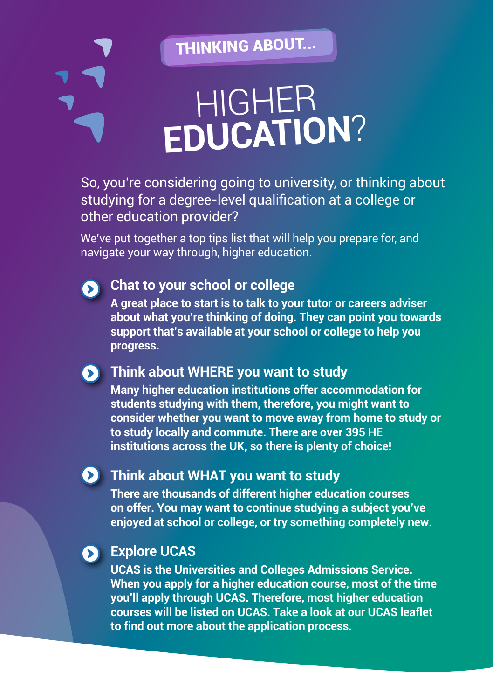THINKING ABOUT...

## HIGHER **EDUCATION**?

So, you're considering going to university, or thinking about studying for a degree-level qualification at a college or other education provider?

We've put together a top tips list that will help you prepare for, and navigate your way through, higher education.



#### **Chat to your school or college**

**A great place to start is to talk to your tutor or careers adviser about what you're thinking of doing. They can point you towards support that's available at your school or college to help you progress.**

#### **Think about WHERE you want to study**

**Many higher education institutions offer accommodation for students studying with them, therefore, you might want to consider whether you want to move away from home to study or to study locally and commute. There are over 395 HE institutions across the UK, so there is plenty of choice!**

#### **Think about WHAT you want to study**

**There are thousands of different higher education courses on offer. You may want to continue studying a subject you've enjoyed at school or college, or try something completely new.**

#### **Explore UCAS**

**UCAS is the Universities and Colleges Admissions Service. When you apply for a higher education course, most of the time you'll apply through UCAS. Therefore, most higher education courses will be listed on UCAS. Take a look at our UCAS leaflet to find out more about the application process.**